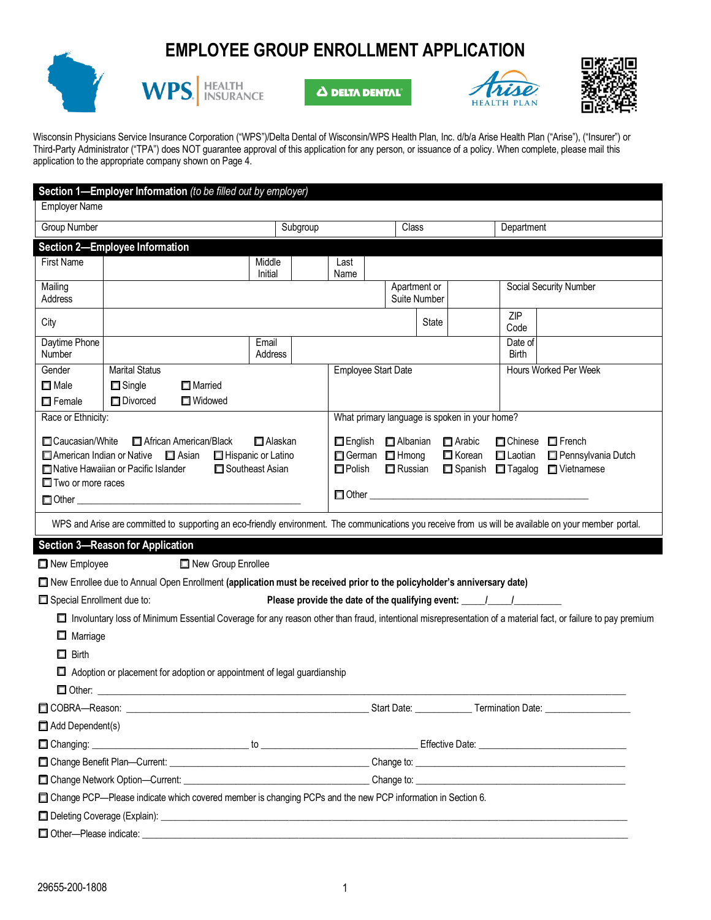# **EMPLOYEE GROUP ENROLLMENT APPLICATION**





**A DELTA DENTAL** 





Wisconsin Physicians Service Insurance Corporation ("WPS")/Delta Dental of Wisconsin/WPS Health Plan, Inc. d/b/a Arise Health Plan ("Arise"), ("Insurer") or Third-Party Administrator ("TPA") does NOT guarantee approval of this application for any person, or issuance of a policy. When complete, please mail this application to the appropriate company shown on Page 4.

|                                                                             |                                         | Section 1-Employer Information (to be filled out by employer)                                                            |                   |  |                     |  |                                    |       |                                               |                                                                                  |                                                                                                                                                             |
|-----------------------------------------------------------------------------|-----------------------------------------|--------------------------------------------------------------------------------------------------------------------------|-------------------|--|---------------------|--|------------------------------------|-------|-----------------------------------------------|----------------------------------------------------------------------------------|-------------------------------------------------------------------------------------------------------------------------------------------------------------|
| <b>Employer Name</b>                                                        |                                         |                                                                                                                          |                   |  |                     |  |                                    |       |                                               |                                                                                  |                                                                                                                                                             |
| <b>Group Number</b>                                                         |                                         |                                                                                                                          | Subgroup          |  |                     |  | <b>Class</b>                       |       |                                               | Department                                                                       |                                                                                                                                                             |
|                                                                             | Section 2-Employee Information          |                                                                                                                          |                   |  |                     |  |                                    |       |                                               |                                                                                  |                                                                                                                                                             |
| <b>First Name</b>                                                           |                                         |                                                                                                                          | Middle<br>Initial |  | Last                |  |                                    |       |                                               |                                                                                  |                                                                                                                                                             |
| Mailing                                                                     |                                         |                                                                                                                          |                   |  | Name                |  | Apartment or                       |       |                                               |                                                                                  | Social Security Number                                                                                                                                      |
| Address                                                                     |                                         |                                                                                                                          |                   |  |                     |  | Suite Number                       |       |                                               |                                                                                  |                                                                                                                                                             |
| City                                                                        |                                         |                                                                                                                          |                   |  |                     |  |                                    | State |                                               | ZIP<br>Code                                                                      |                                                                                                                                                             |
| Daytime Phone                                                               |                                         |                                                                                                                          | Email             |  |                     |  |                                    |       |                                               | Date of                                                                          |                                                                                                                                                             |
| Number                                                                      |                                         |                                                                                                                          | Address           |  |                     |  |                                    |       |                                               | <b>Birth</b>                                                                     |                                                                                                                                                             |
| Gender                                                                      | <b>Marital Status</b>                   |                                                                                                                          |                   |  | Employee Start Date |  |                                    |       |                                               |                                                                                  | Hours Worked Per Week                                                                                                                                       |
| $\Box$ Male                                                                 | $\Box$ Single                           | Married                                                                                                                  |                   |  |                     |  |                                    |       |                                               |                                                                                  |                                                                                                                                                             |
| $\Box$ Female<br>Race or Ethnicity:                                         | Divorced                                | □ Widowed                                                                                                                |                   |  |                     |  |                                    |       | What primary language is spoken in your home? |                                                                                  |                                                                                                                                                             |
|                                                                             |                                         |                                                                                                                          |                   |  |                     |  |                                    |       |                                               |                                                                                  |                                                                                                                                                             |
| Caucasian/White                                                             |                                         | African American/Black                                                                                                   | Alaskan           |  |                     |  | English <b>D</b> Albanian          |       | $\Box$ Arabic                                 |                                                                                  | □ Chinese □ French                                                                                                                                          |
|                                                                             | Native Hawaiian or Pacific Islander     | American Indian or Native <b>I</b> Asian <b>I</b> Hispanic or Latino<br>Southeast Asian                                  |                   |  | $\square$ Polish    |  | German <b>D</b> Hmong<br>□ Russian |       | □ Korean<br>□ Spanish                         | $\Box$ Laotian<br>$\Box$ Tagalog                                                 | Pennsylvania Dutch<br>Vietnamese                                                                                                                            |
| $\Box$ Two or more races                                                    |                                         |                                                                                                                          |                   |  |                     |  |                                    |       |                                               |                                                                                  |                                                                                                                                                             |
|                                                                             |                                         |                                                                                                                          |                   |  |                     |  |                                    |       |                                               | $\Box$ Other $\Box$                                                              |                                                                                                                                                             |
|                                                                             |                                         |                                                                                                                          |                   |  |                     |  |                                    |       |                                               |                                                                                  | WPS and Arise are committed to supporting an eco-friendly environment. The communications you receive from us will be available on your member portal.      |
|                                                                             | <b>Section 3-Reason for Application</b> |                                                                                                                          |                   |  |                     |  |                                    |       |                                               |                                                                                  |                                                                                                                                                             |
| New Employee                                                                |                                         | New Group Enrollee                                                                                                       |                   |  |                     |  |                                    |       |                                               |                                                                                  |                                                                                                                                                             |
|                                                                             |                                         | □ New Enrollee due to Annual Open Enrollment (application must be received prior to the policyholder's anniversary date) |                   |  |                     |  |                                    |       |                                               |                                                                                  |                                                                                                                                                             |
| Special Enrollment due to:                                                  |                                         |                                                                                                                          |                   |  |                     |  |                                    |       |                                               | Please provide the date of the qualifying event: _______________________________ |                                                                                                                                                             |
|                                                                             |                                         |                                                                                                                          |                   |  |                     |  |                                    |       |                                               |                                                                                  | Involuntary loss of Minimum Essential Coverage for any reason other than fraud, intentional misrepresentation of a material fact, or failure to pay premium |
| $\Box$ Marriage                                                             |                                         |                                                                                                                          |                   |  |                     |  |                                    |       |                                               |                                                                                  |                                                                                                                                                             |
| $\Box$ Birth                                                                |                                         |                                                                                                                          |                   |  |                     |  |                                    |       |                                               |                                                                                  |                                                                                                                                                             |
|                                                                             |                                         | Adoption or placement for adoption or appointment of legal guardianship                                                  |                   |  |                     |  |                                    |       |                                               |                                                                                  |                                                                                                                                                             |
|                                                                             |                                         |                                                                                                                          |                   |  |                     |  |                                    |       |                                               |                                                                                  |                                                                                                                                                             |
|                                                                             |                                         |                                                                                                                          |                   |  |                     |  |                                    |       |                                               |                                                                                  |                                                                                                                                                             |
| Add Dependent(s)                                                            |                                         |                                                                                                                          |                   |  |                     |  |                                    |       |                                               |                                                                                  |                                                                                                                                                             |
|                                                                             |                                         |                                                                                                                          |                   |  |                     |  |                                    |       |                                               |                                                                                  |                                                                                                                                                             |
|                                                                             |                                         |                                                                                                                          |                   |  |                     |  |                                    |       |                                               |                                                                                  |                                                                                                                                                             |
| □ Change Network Option—Current: example and the contract of the change to: |                                         |                                                                                                                          |                   |  |                     |  |                                    |       |                                               |                                                                                  |                                                                                                                                                             |
|                                                                             |                                         | □ Change PCP—Please indicate which covered member is changing PCPs and the new PCP information in Section 6.             |                   |  |                     |  |                                    |       |                                               |                                                                                  |                                                                                                                                                             |
|                                                                             |                                         |                                                                                                                          |                   |  |                     |  |                                    |       |                                               |                                                                                  |                                                                                                                                                             |
| Other-Please indicate:                                                      |                                         |                                                                                                                          |                   |  |                     |  |                                    |       |                                               |                                                                                  |                                                                                                                                                             |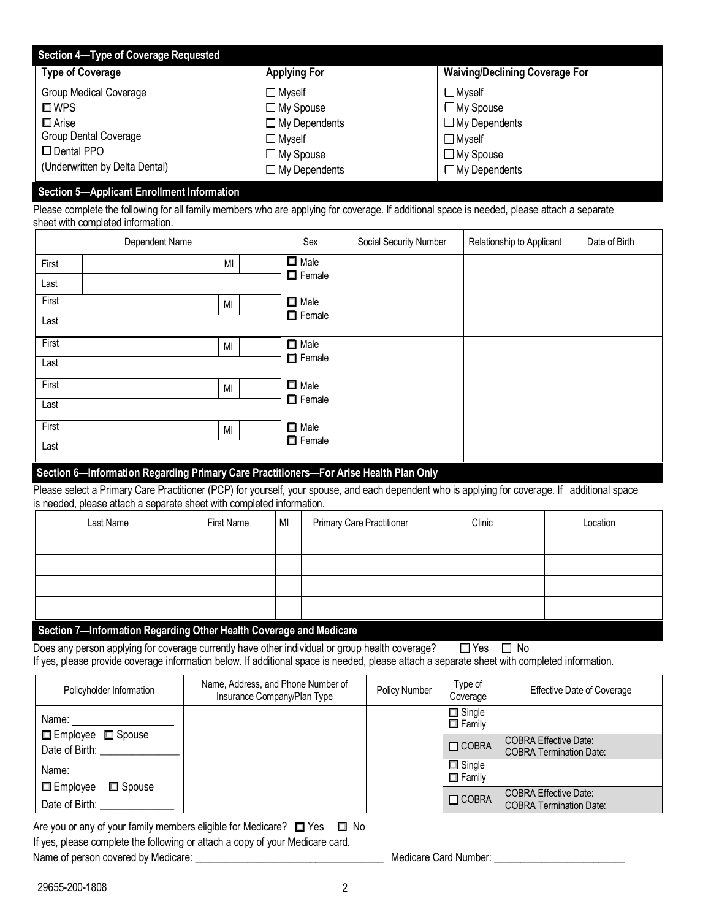| Section 4-Type of Coverage Requested |                      |                                       |  |  |  |  |
|--------------------------------------|----------------------|---------------------------------------|--|--|--|--|
| <b>Type of Coverage</b>              | <b>Applying For</b>  | <b>Waiving/Declining Coverage For</b> |  |  |  |  |
| <b>Group Medical Coverage</b>        | $\Box$ Myself        | $\Box$ Myself                         |  |  |  |  |
| $\square$ WPS                        | $\Box$ My Spouse     | $\Box$ My Spouse                      |  |  |  |  |
| $\square$ Arise                      | $\Box$ My Dependents | $\Box$ My Dependents                  |  |  |  |  |
| Group Dental Coverage                | $\Box$ Myself        | $\Box$ Myself                         |  |  |  |  |
| $\Box$ Dental PPO                    | $\Box$ My Spouse     | $\Box$ My Spouse                      |  |  |  |  |
| (Underwritten by Delta Dental)       | $\Box$ My Dependents | $\Box$ My Dependents                  |  |  |  |  |

#### **Section 5—Applicant Enrollment Information**

Please complete the following for all family members who are applying for coverage. If additional space is needed, please attach a separate sheet with completed information.

|       | Dependent Name | Sex                             | Social Security Number | Relationship to Applicant | Date of Birth |
|-------|----------------|---------------------------------|------------------------|---------------------------|---------------|
| First | MI             | $\square$ Male<br>$\Box$ Female |                        |                           |               |
| Last  |                |                                 |                        |                           |               |
| First | M <sub>l</sub> | $\Box$ Male                     |                        |                           |               |
| Last  |                | $\Box$ Female                   |                        |                           |               |
| First | MI             | $\Box$ Male                     |                        |                           |               |
| Last  |                | $\Box$ Female                   |                        |                           |               |
| First | MI             | $\Box$ Male                     |                        |                           |               |
| Last  |                | $\Box$ Female                   |                        |                           |               |
| First | MI             | $\Box$ Male<br>$\Box$ Female    |                        |                           |               |
| Last  |                |                                 |                        |                           |               |

#### **Section 6—Information Regarding Primary Care Practitioners—For Arise Health Plan Only**

Please select a Primary Care Practitioner (PCP) for yourself, your spouse, and each dependent who is applying for coverage. If additional space is needed, please attach a separate sheet with completed information.

| Last Name | First Name | MI | <b>Primary Care Practitioner</b> | Clinic | Location |
|-----------|------------|----|----------------------------------|--------|----------|
|           |            |    |                                  |        |          |
|           |            |    |                                  |        |          |
|           |            |    |                                  |        |          |
|           |            |    |                                  |        |          |

### **Section 7—Information Regarding Other Health Coverage and Medicare**

Does any person applying for coverage currently have other individual or group health coverage?  $\square$  Yes  $\square$  No If yes, please provide coverage information below. If additional space is needed, please attach a separate sheet with completed information.

| Policyholder Information                         | Name, Address, and Phone Number of<br>Insurance Company/Plan Type | Policy Number | Type of<br>Coverage            | <b>Effective Date of Coverage</b>                              |
|--------------------------------------------------|-------------------------------------------------------------------|---------------|--------------------------------|----------------------------------------------------------------|
| Name:                                            |                                                                   |               | $\Box$ Single<br>$\Box$ Family |                                                                |
| $\Box$ Employee $\Box$ Spouse<br>Date of Birth:  |                                                                   |               | $\Box$ COBRA                   | <b>COBRA Effective Date:</b><br><b>COBRA Termination Date:</b> |
| Name:                                            |                                                                   |               | $\Box$ Single<br>$\Box$ Family |                                                                |
| $\square$ Spouse<br>□ Employee<br>Date of Birth: |                                                                   |               | $\Box$ COBRA                   | <b>COBRA Effective Date:</b><br><b>COBRA Termination Date:</b> |

Are you or any of your family members eligible for Medicare?  $\Box$  Yes  $\Box$  No If yes, please complete the following or attach a copy of your Medicare card. Name of person covered by Medicare: \_\_\_\_\_\_\_\_\_\_\_\_\_\_\_\_\_\_\_\_\_\_\_\_\_\_\_\_\_\_\_\_\_\_\_\_ Medicare Card Number: \_\_\_\_\_\_\_\_\_\_\_\_\_\_\_\_\_\_\_\_\_\_\_\_\_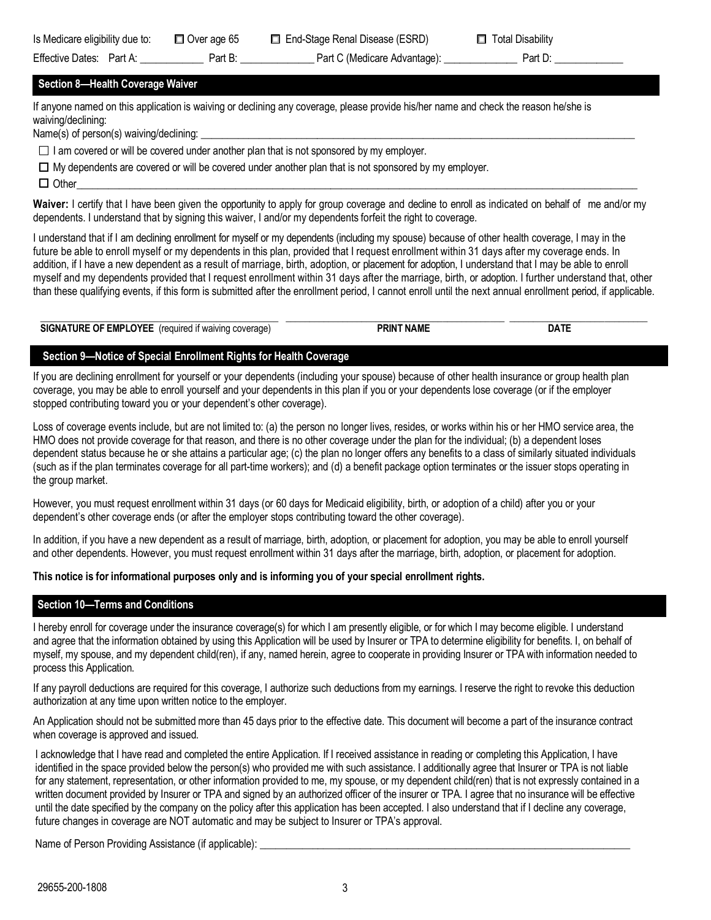| Is Medicare eligibility due to:  |  |
|----------------------------------|--|
| $\Gamma$ ffootive Detect Dest As |  |

## **Section 8—Health Coverage Waiver**

If anyone named on this application is waiving or declining any coverage, please provide his/her name and check the reason he/she is waiving/declining:

Name(s) of person(s) waiving/declining:

 $\Box$  I am covered or will be covered under another plan that is not sponsored by my employer.

 $\Box$  My dependents are covered or will be covered under another plan that is not sponsored by my employer.

q Other\_\_\_\_\_\_\_\_\_\_\_\_\_\_\_\_\_\_\_\_\_\_\_\_\_\_\_\_\_\_\_\_\_\_\_\_\_\_\_\_\_\_\_\_\_\_\_\_\_\_\_\_\_\_\_\_\_\_\_\_\_\_\_\_\_\_\_\_\_\_\_\_\_\_\_\_\_\_\_\_\_\_\_\_\_\_\_\_\_\_\_\_\_\_\_\_\_\_\_\_\_\_\_\_\_\_

**Waiver:** I certify that I have been given the opportunity to apply for group coverage and decline to enroll as indicated on behalf of me and/or my dependents. I understand that by signing this waiver, I and/or my dependents forfeit the right to coverage.

I understand that if I am declining enrollment for myself or my dependents (including my spouse) because of other health coverage, I may in the future be able to enroll myself or my dependents in this plan, provided that I request enrollment within 31 days after my coverage ends. In addition, if I have a new dependent as a result of marriage, birth, adoption, or placement for adoption, I understand that I may be able to enroll myself and my dependents provided that I request enrollment within 31 days after the marriage, birth, or adoption. I further understand that, other than these qualifying events, if this form is submitted after the enrollment period, I cannot enroll until the next annual enrollment period, if applicable.

| <b>SIGNATURE OF EMPLOYEE</b><br>frequired if waiving<br>i coverage: | PRINT NAME | DA. |
|---------------------------------------------------------------------|------------|-----|

# **Section 9—Notice of Special Enrollment Rights for Health Coverage**

If you are declining enrollment for yourself or your dependents (including your spouse) because of other health insurance or group health plan coverage, you may be able to enroll yourself and your dependents in this plan if you or your dependents lose coverage (or if the employer stopped contributing toward you or your dependent's other coverage).

Loss of coverage events include, but are not limited to: (a) the person no longer lives, resides, or works within his or her HMO service area, the HMO does not provide coverage for that reason, and there is no other coverage under the plan for the individual; (b) a dependent loses dependent status because he or she attains a particular age; (c) the plan no longer offers any benefits to a class of similarly situated individuals (such as if the plan terminates coverage for all part-time workers); and (d) a benefit package option terminates or the issuer stops operating in the group market.

However, you must request enrollment within 31 days (or 60 days for Medicaid eligibility, birth, or adoption of a child) after you or your dependent's other coverage ends (or after the employer stops contributing toward the other coverage).

In addition, if you have a new dependent as a result of marriage, birth, adoption, or placement for adoption, you may be able to enroll yourself and other dependents. However, you must request enrollment within 31 days after the marriage, birth, adoption, or placement for adoption.

**This notice is for informational purposes only and is informing you of your special enrollment rights.**

# **Section 10—Terms and Conditions**

I hereby enroll for coverage under the insurance coverage(s) for which I am presently eligible, or for which I may become eligible. I understand and agree that the information obtained by using this Application will be used by Insurer or TPA to determine eligibility for benefits. I, on behalf of myself, my spouse, and my dependent child(ren), if any, named herein, agree to cooperate in providing Insurer or TPA with information needed to process this Application.

If any payroll deductions are required for this coverage, I authorize such deductions from my earnings. I reserve the right to revoke this deduction authorization at any time upon written notice to the employer.

An Application should not be submitted more than 45 days prior to the effective date. This document will become a part of the insurance contract when coverage is approved and issued.

I acknowledge that I have read and completed the entire Application. If I received assistance in reading or completing this Application, I have identified in the space provided below the person(s) who provided me with such assistance. I additionally agree that Insurer or TPA is not liable for any statement, representation, or other information provided to me, my spouse, or my dependent child(ren) that is not expressly contained in a written document provided by Insurer or TPA and signed by an authorized officer of the insurer or TPA. I agree that no insurance will be effective until the date specified by the company on the policy after this application has been accepted. I also understand that if I decline any coverage, future changes in coverage are NOT automatic and may be subject to Insurer or TPA's approval.

Name of Person Providing Assistance (if applicable):